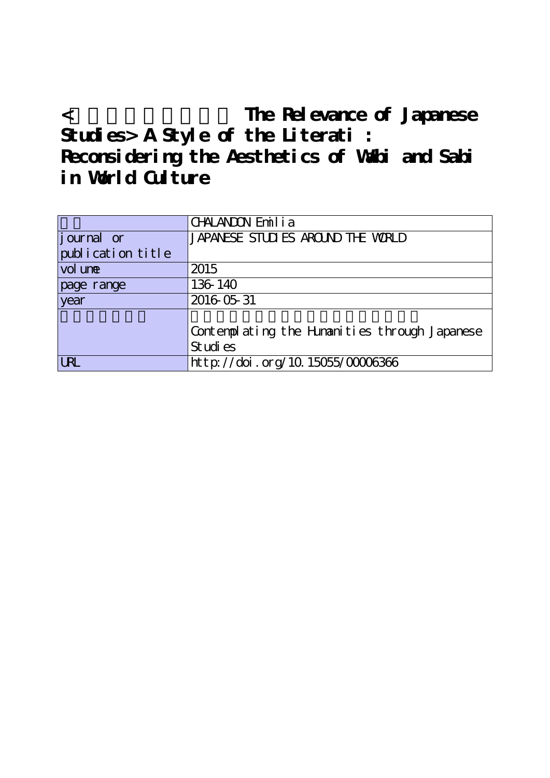< The Relevance of Japanese **Studies> A Style of the Literati : Reconsidering the Aesthetics of Wabi and Sabi in World Culture**

|                   | CHALANDON Emilia                                           |
|-------------------|------------------------------------------------------------|
| journal or        | JAPANESE STUDIES AROUND THE WORLD                          |
| publication title |                                                            |
| vol une           | 2015                                                       |
| page range        | 136-140                                                    |
| year              | 2016 05 31                                                 |
|                   | Contemplating the Himanities through Japanese<br>St udi es |
| <b>URL</b>        | http://doi.org/10.15055/00006366                           |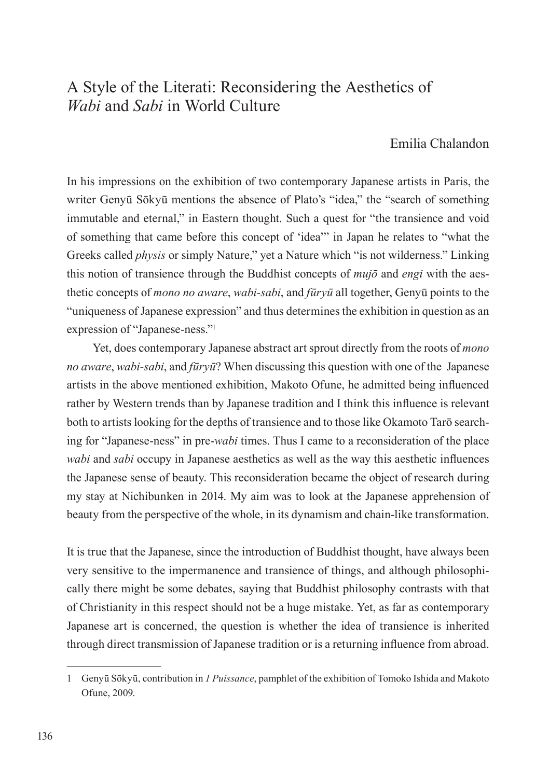## A Style of the Literati: Reconsidering the Aesthetics of *Wabi* and *Sabi* in World Culture

## Emilia Chalandon

In his impressions on the exhibition of two contemporary Japanese artists in Paris, the writer Genyū Sōkyū mentions the absence of Plato's "idea," the "search of something immutable and eternal," in Eastern thought. Such a quest for "the transience and void of something that came before this concept of 'idea'" in Japan he relates to "what the Greeks called *physis* or simply Nature," yet a Nature which "is not wilderness." Linking this notion of transience through the Buddhist concepts of *mujō* and *engi* with the aesthetic concepts of *mono no aware*, *wabi-sabi*, and *fūryū* all together, Genyū points to the "uniqueness of Japanese expression" and thus determines the exhibition in question as an expression of "Japanese-ness."1

Yet, does contemporary Japanese abstract art sprout directly from the roots of *mono no aware*, *wabi-sabi*, and *fūryū*? When discussing this question with one of the Japanese artists in the above mentioned exhibition, Makoto Ofune, he admitted being influenced rather by Western trends than by Japanese tradition and I think this influence is relevant both to artists looking for the depths of transience and to those like Okamoto Tarō searching for "Japanese-ness" in pre-*wabi* times. Thus I came to a reconsideration of the place *wabi* and *sabi* occupy in Japanese aesthetics as well as the way this aesthetic influences the Japanese sense of beauty. This reconsideration became the object of research during my stay at Nichibunken in 2014. My aim was to look at the Japanese apprehension of beauty from the perspective of the whole, in its dynamism and chain-like transformation.

It is true that the Japanese, since the introduction of Buddhist thought, have always been very sensitive to the impermanence and transience of things, and although philosophically there might be some debates, saying that Buddhist philosophy contrasts with that of Christianity in this respect should not be a huge mistake. Yet, as far as contemporary Japanese art is concerned, the question is whether the idea of transience is inherited through direct transmission of Japanese tradition or is a returning influence from abroad.

<sup>1</sup> Genyū Sōkyū, contribution in *1 Puissance*, pamphlet of the exhibition of Tomoko Ishida and Makoto Ofune, 2009.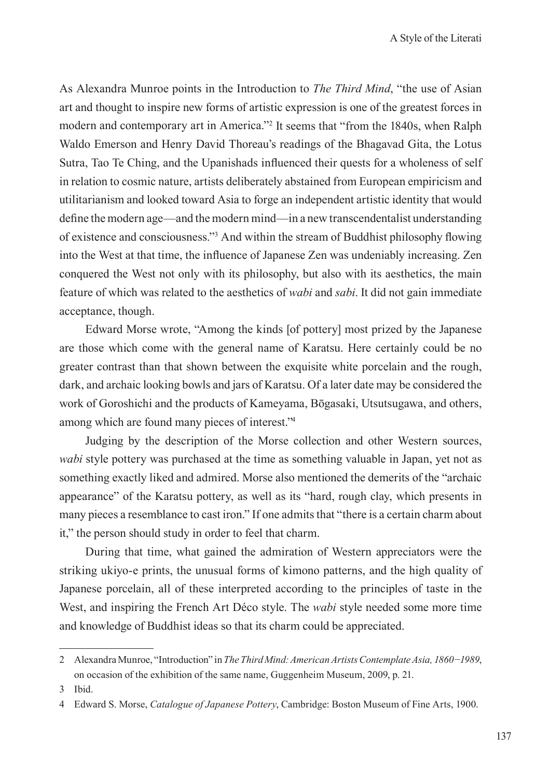As Alexandra Munroe points in the Introduction to *The Third Mind*, "the use of Asian art and thought to inspire new forms of artistic expression is one of the greatest forces in modern and contemporary art in America."2 It seems that "from the 1840s, when Ralph Waldo Emerson and Henry David Thoreau's readings of the Bhagavad Gita, the Lotus Sutra, Tao Te Ching, and the Upanishads influenced their quests for a wholeness of self in relation to cosmic nature, artists deliberately abstained from European empiricism and utilitarianism and looked toward Asia to forge an independent artistic identity that would define the modern age—and the modern mind—in a new transcendentalist understanding of existence and consciousness."3 And within the stream of Buddhist philosophy flowing into the West at that time, the influence of Japanese Zen was undeniably increasing. Zen conquered the West not only with its philosophy, but also with its aesthetics, the main feature of which was related to the aesthetics of *wabi* and *sabi*. It did not gain immediate acceptance, though.

Edward Morse wrote, "Among the kinds [of pottery] most prized by the Japanese are those which come with the general name of Karatsu. Here certainly could be no greater contrast than that shown between the exquisite white porcelain and the rough, dark, and archaic looking bowls and jars of Karatsu. Of a later date may be considered the work of Goroshichi and the products of Kameyama, Bōgasaki, Utsutsugawa, and others, among which are found many pieces of interest."4

Judging by the description of the Morse collection and other Western sources, *wabi* style pottery was purchased at the time as something valuable in Japan, yet not as something exactly liked and admired. Morse also mentioned the demerits of the "archaic appearance" of the Karatsu pottery, as well as its "hard, rough clay, which presents in many pieces a resemblance to cast iron." If one admits that "there is a certain charm about it," the person should study in order to feel that charm.

During that time, what gained the admiration of Western appreciators were the striking ukiyo-e prints, the unusual forms of kimono patterns, and the high quality of Japanese porcelain, all of these interpreted according to the principles of taste in the West, and inspiring the French Art Déco style. The *wabi* style needed some more time and knowledge of Buddhist ideas so that its charm could be appreciated.

<sup>2</sup> Alexandra Munroe, "Introduction" in *The Third Mind: American Artists Contemplate Asia, 1860−1989*, on occasion of the exhibition of the same name, Guggenheim Museum, 2009, p. 21.

<sup>3</sup> Ibid.

<sup>4</sup> Edward S. Morse, *Catalogue of Japanese Pottery*, Cambridge: Boston Museum of Fine Arts, 1900.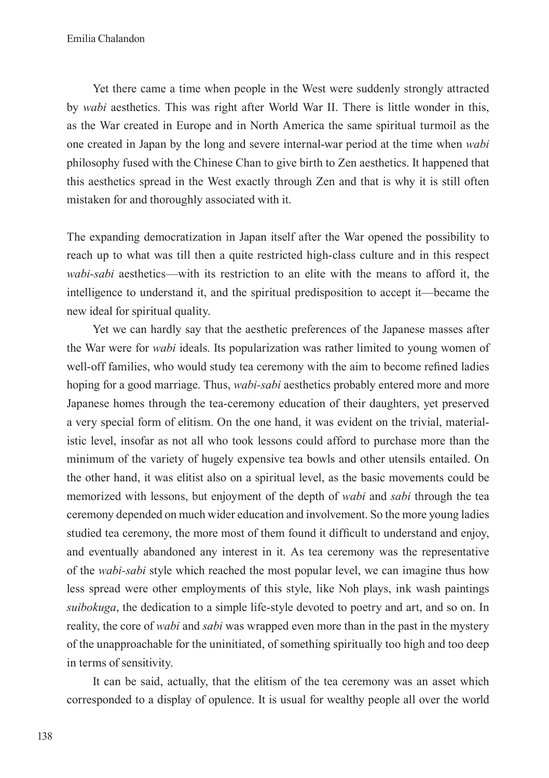Yet there came a time when people in the West were suddenly strongly attracted by *wabi* aesthetics. This was right after World War II. There is little wonder in this, as the War created in Europe and in North America the same spiritual turmoil as the one created in Japan by the long and severe internal-war period at the time when *wabi* philosophy fused with the Chinese Chan to give birth to Zen aesthetics. It happened that this aesthetics spread in the West exactly through Zen and that is why it is still often mistaken for and thoroughly associated with it.

The expanding democratization in Japan itself after the War opened the possibility to reach up to what was till then a quite restricted high-class culture and in this respect *wabi-sabi* aesthetics—with its restriction to an elite with the means to afford it, the intelligence to understand it, and the spiritual predisposition to accept it—became the new ideal for spiritual quality.

Yet we can hardly say that the aesthetic preferences of the Japanese masses after the War were for *wabi* ideals. Its popularization was rather limited to young women of well-off families, who would study tea ceremony with the aim to become refined ladies hoping for a good marriage. Thus, *wabi-sabi* aesthetics probably entered more and more Japanese homes through the tea-ceremony education of their daughters, yet preserved a very special form of elitism. On the one hand, it was evident on the trivial, materialistic level, insofar as not all who took lessons could afford to purchase more than the minimum of the variety of hugely expensive tea bowls and other utensils entailed. On the other hand, it was elitist also on a spiritual level, as the basic movements could be memorized with lessons, but enjoyment of the depth of *wabi* and *sabi* through the tea ceremony depended on much wider education and involvement. So the more young ladies studied tea ceremony, the more most of them found it difficult to understand and enjoy, and eventually abandoned any interest in it. As tea ceremony was the representative of the *wabi-sabi* style which reached the most popular level, we can imagine thus how less spread were other employments of this style, like Noh plays, ink wash paintings *suibokuga*, the dedication to a simple life-style devoted to poetry and art, and so on. In reality, the core of *wabi* and *sabi* was wrapped even more than in the past in the mystery of the unapproachable for the uninitiated, of something spiritually too high and too deep in terms of sensitivity.

It can be said, actually, that the elitism of the tea ceremony was an asset which corresponded to a display of opulence. It is usual for wealthy people all over the world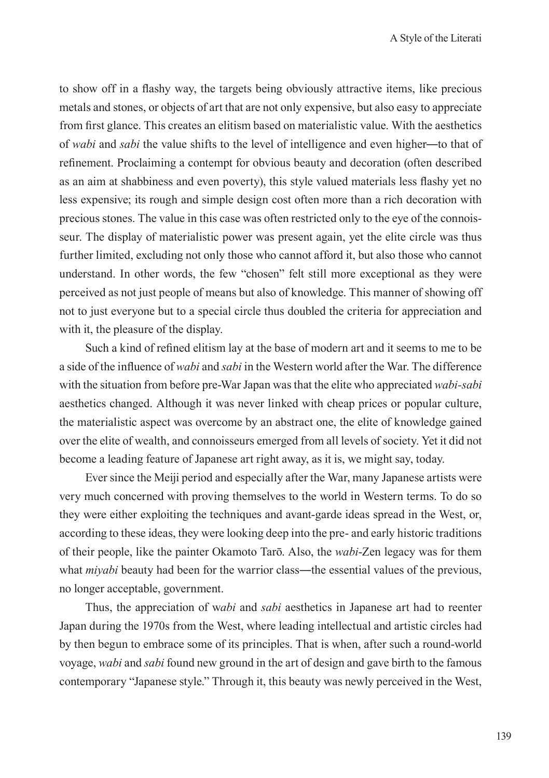to show off in a flashy way, the targets being obviously attractive items, like precious metals and stones, or objects of art that are not only expensive, but also easy to appreciate from first glance. This creates an elitism based on materialistic value. With the aesthetics of *wabi* and *sabi* the value shifts to the level of intelligence and even higher―to that of refinement. Proclaiming a contempt for obvious beauty and decoration (often described as an aim at shabbiness and even poverty), this style valued materials less flashy yet no less expensive; its rough and simple design cost often more than a rich decoration with precious stones. The value in this case was often restricted only to the eye of the connoisseur. The display of materialistic power was present again, yet the elite circle was thus further limited, excluding not only those who cannot afford it, but also those who cannot understand. In other words, the few "chosen" felt still more exceptional as they were perceived as not just people of means but also of knowledge. This manner of showing off not to just everyone but to a special circle thus doubled the criteria for appreciation and with it, the pleasure of the display.

Such a kind of refined elitism lay at the base of modern art and it seems to me to be a side of the influence of *wabi* and *sabi* in the Western world after the War. The difference with the situation from before pre-War Japan was that the elite who appreciated *wabi-sabi*  aesthetics changed. Although it was never linked with cheap prices or popular culture, the materialistic aspect was overcome by an abstract one, the elite of knowledge gained over the elite of wealth, and connoisseurs emerged from all levels of society. Yet it did not become a leading feature of Japanese art right away, as it is, we might say, today.

Ever since the Meiji period and especially after the War, many Japanese artists were very much concerned with proving themselves to the world in Western terms. To do so they were either exploiting the techniques and avant-garde ideas spread in the West, or, according to these ideas, they were looking deep into the pre- and early historic traditions of their people, like the painter Okamoto Tarō. Also, the *wabi*-Zen legacy was for them what *miyabi* beauty had been for the warrior class—the essential values of the previous, no longer acceptable, government.

Thus, the appreciation of w*abi* and *sabi* aesthetics in Japanese art had to reenter Japan during the 1970s from the West, where leading intellectual and artistic circles had by then begun to embrace some of its principles. That is when, after such a round-world voyage, *wabi* and *sabi* found new ground in the art of design and gave birth to the famous contemporary "Japanese style." Through it, this beauty was newly perceived in the West,